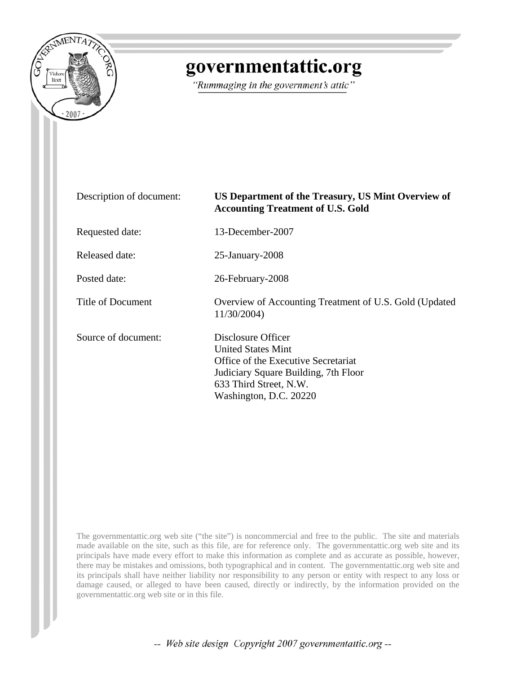

# governmentattic.org

"Rummaging in the government's attic"

| Description of document: | US Department of the Treasury, US Mint Overview of<br><b>Accounting Treatment of U.S. Gold</b>                                                                                     |
|--------------------------|------------------------------------------------------------------------------------------------------------------------------------------------------------------------------------|
| Requested date:          | 13-December-2007                                                                                                                                                                   |
| Released date:           | $25$ -January- $2008$                                                                                                                                                              |
| Posted date:             | 26-February-2008                                                                                                                                                                   |
| Title of Document        | Overview of Accounting Treatment of U.S. Gold (Updated<br>11/30/2004)                                                                                                              |
| Source of document:      | Disclosure Officer<br><b>United States Mint</b><br>Office of the Executive Secretariat<br>Judiciary Square Building, 7th Floor<br>633 Third Street, N.W.<br>Washington, D.C. 20220 |

The governmentattic.org web site ("the site") is noncommercial and free to the public. The site and materials made available on the site, such as this file, are for reference only. The governmentattic.org web site and its principals have made every effort to make this information as complete and as accurate as possible, however, there may be mistakes and omissions, both typographical and in content. The governmentattic.org web site and its principals shall have neither liability nor responsibility to any person or entity with respect to any loss or damage caused, or alleged to have been caused, directly or indirectly, by the information provided on the governmentattic.org web site or in this file.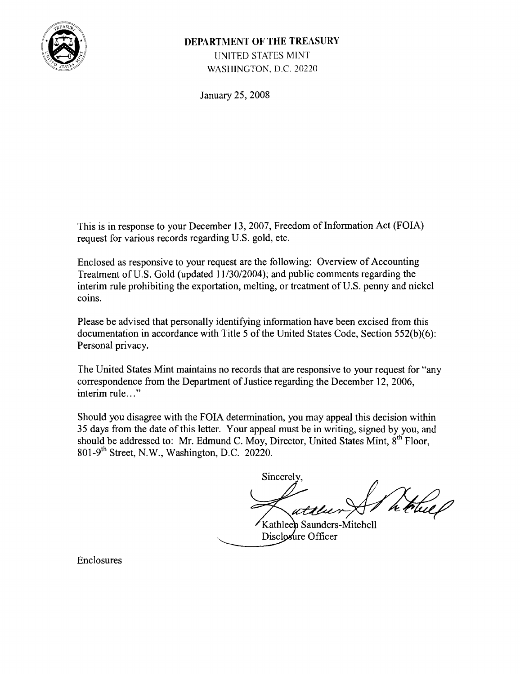

# **DEPARTMENT OF THE TREASURY** UNITED STATES MINT WASHINGTON, D.C. 20220

January 25, 200S

This is in response to your December 13, 2007, Freedom of Information Act (FOIA) request for various records regarding U.S. gold, etc.

Enclosed as responsive to your request are the following: Overview of Accounting Treatment of U.S. Gold (updated  $11/30/2004$ ); and public comments regarding the interim rule prohibiting the exportation, melting, or treatment of U.S. penny and nickel coins.

Please be advised that personally identifying information have been excised from this documentation in accordance with Title 5 of the United States Code, Section  $552(b)(6)$ : Personal privacy.

The United States Mint maintains no records that are responsive to your request for "any correspondence from the Department of Justice regarding the December 12, 2006, interim rule..."

Should you disagree with the FOIA determination, you may appeal this decision within 35 days from the date of this letter. Your appeal must be in writing, signed by you, and should be addressed to: Mr. Edmund C. Moy, Director, United States Mint, 8<sup>th</sup> Floor,  $801-9$ <sup>th</sup> Street, N.W., Washington, D.C. 20220.

Sincerely

 $\mathcal{L}_{\mathcal{L}}$ 

Kathleen Saunders-Mitchell Disclosure Officer

Enclosures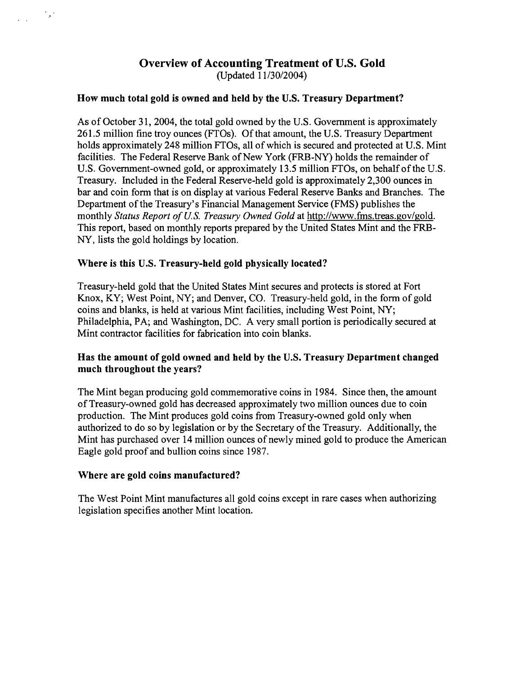## Overview of Accounting Treatment of U.S. Gold (Updated 11/30/2004)

#### How much total gold is owned and held by the U.S. Treasury Department?

As of October 31, 2004, the total gold owned by the U.S. Government is approximately 261.5 million fine troy ounces (FTOs). Of that amount, the U.S. Treasury Department holds approximately 248 million FTOs, all of which is secured and protected at U.S. Mint facilities. The Federal Reserve Bank of New York (FRB-NY) holds the remainder of U.S. Government-owned gold, or approximately 13.5 million FTOs, on behalf of the U.S. Treasury. Included in the Federal Reserve-held gold is approximately 2,300 ounces in bar and coin form that is on display at various Federal Reserve Banks and Branches. The Department of the Treasury's Financial Management Service (FMS) publishes the monthly *Status Report of U.S. Treasury Owned Gold* at http://www.fms.treas.gov/gold. This report, based on monthly reports prepared by the United States Mint and the FRB-NY, lists the gold holdings by location.

#### Where is this U.S. Treasury-held gold physically located?

Treasury-held gold that the United States Mint secures and protects is stored at Fort Knox, KY; West Point, NY; and Denver, CO. Treasury-held gold, in the form of gold coins and blanks, is held at various Mint facilities, including West Point, NY; Philadelphia, PA; and Washington, DC. A very small portion is periodically secured at Mint contractor facilities for fabrication into coin blanks.

#### Has the amount of gold owned and held by the U.S. Treasury Department changed much throughout the years?

The Mint began producing gold commemorative coins in 1984. Since then, the amount of Treasury-owned gold has decreased approximately two million ounces due to coin production. The Mint produces gold coins from Treasury-owned gold only when authorized to do so by legislation or by the Secretary of the Treasury. Additionally, the Mint has purchased over 14 million ounces of newly mined gold to produce the American Eagle gold proof and bullion coins since 1987.

#### Where are gold coins manufactured?

 $\mathcal{L}_{\mathcal{F}}$  .

The West Point Mint manufactures all gold coins except in rare cases when authorizing legislation specifies another Mint location.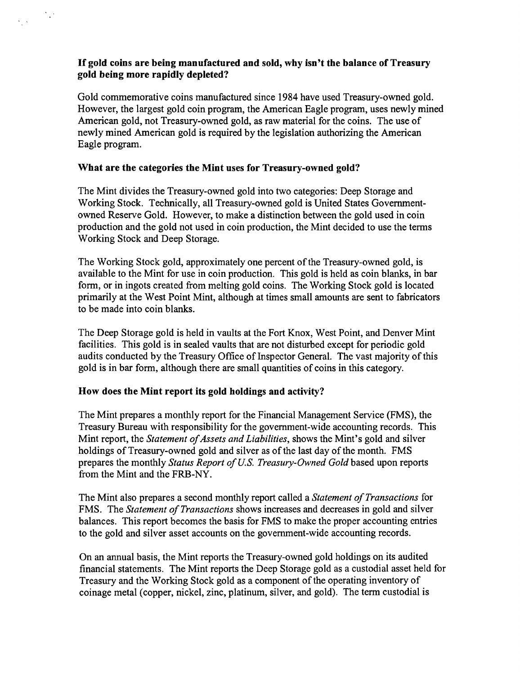#### Ifgold coins are being manufactured and sold, why isn't the balance of Treasury gold being more rapidly depleted?

Gold commemorative coins manufactured since 1984 have used Treasury-owned gold. However, the largest gold coin program, the American Eagle program, uses newly mined American gold, not Treasury-owned gold, as raw material for the coins. The use of newly mined American gold is required by the legislation authorizing the American Eagle program.

#### What are the categories the Mint uses for Treasury-owned gold?

 $\mathcal{N}_{\mathbf{z}}$  .

The Mint divides the Treasury-owned gold into two categories: Deep Storage and Working Stock. Technically, all Treasury-owned gold is United States Governmentowned Reserve Gold. However, to make a distinction between the gold used in coin production and the gold not used in coin production, the Mint decided to use the tenns Working Stock and Deep Storage.

The Working Stock gold, approximately one percent of the Treasury-owned gold, is available to the Mint for use in coin production. This gold is held as coin blanks, in bar fonn, or in ingots created from melting gold coins. The Working Stock gold is located primarily at the West Point Mint, although at times small amounts are sent to fabricators to be made into coin blanks.

The Deep Storage gold is held in vaults at the Fort Knox, West Point, and Denver Mint facilities. This gold is in sealed vaults that are not disturbed except for periodic gold audits conducted by the Treasury Office of Inspector General. The vast majority of this gold is in bar fonn, although there are small quantities of coins in this category.

## How does the Mint report its gold holdings and activity?

The Mint prepares a monthly report for the Financial Management Service (FMS), the Treasury Bureau with responsibility for the government-wide accounting records. This Mint report, the *Statement of Assets and Liabilities*, shows the Mint's gold and silver holdings of Treasury-owned gold and silver as of the last day of the month. FMS prepares the monthly *Status Report of U.S. Treasury-Owned Gold* based upon reports from the Mint and the FRB-NY.

The Mint also prepares a second monthly report called a *Statement of Transactions* for FMS. The *Statement of Transactions* shows increases and decreases in gold and silver balances. This report becomes the basis for FMS to make the proper accounting entries to the gold and silver asset accounts on the government-wide accounting records.

On an annual basis, the Mint reports the Treasury-owned gold holdings on its audited financial statements. The Mint reports the Deep Storage gold as a custodial asset held for Treasury and the Working Stock gold as a component of the operating inventory of coinage metal (copper, nickel, zinc, platinum, silver, and gold). The term custodial is